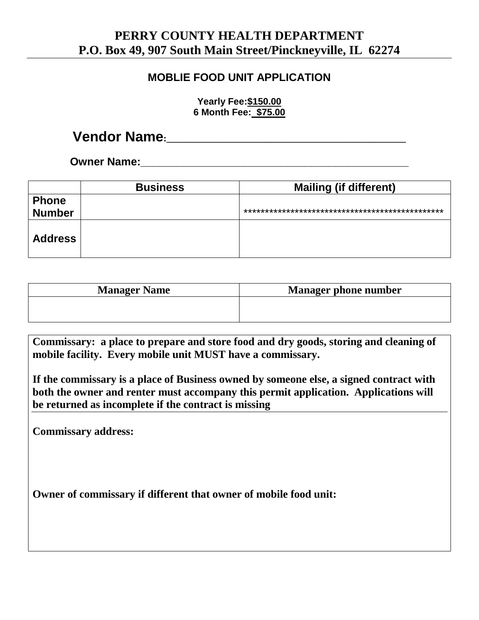## **PERRY COUNTY HEALTH DEPARTMENT P.O. Box 49, 907 South Main Street/Pinckneyville, IL 62274**

## **MOBLIE FOOD UNIT APPLICATION**

**Yearly Fee:\$150.00 6 Month Fee: \$75.00**

## **Vendor Name:\_\_\_\_\_\_\_\_\_\_\_\_\_\_\_\_\_\_\_\_\_\_\_\_\_\_\_\_\_\_\_\_\_\_\_\_\_\_\_\_\_\_\_\_\_\_\_\_\_\_\_**

**Owner Name:\_\_\_\_\_\_\_\_\_\_\_\_\_\_\_\_\_\_\_\_\_\_\_\_\_\_\_\_\_\_\_\_\_\_\_\_\_\_\_\_\_\_\_\_**

|                | <b>Business</b> | <b>Mailing (if different)</b> |
|----------------|-----------------|-------------------------------|
| <b>Phone</b>   |                 |                               |
| <b>Number</b>  |                 |                               |
| <b>Address</b> |                 |                               |

| <b>Manager Name</b> | <b>Manager phone number</b> |
|---------------------|-----------------------------|
|                     |                             |
|                     |                             |

**Commissary: a place to prepare and store food and dry goods, storing and cleaning of mobile facility. Every mobile unit MUST have a commissary.**

**If the commissary is a place of Business owned by someone else, a signed contract with both the owner and renter must accompany this permit application. Applications will be returned as incomplete if the contract is missing**

**Commissary address:**

**Owner of commissary if different that owner of mobile food unit:**